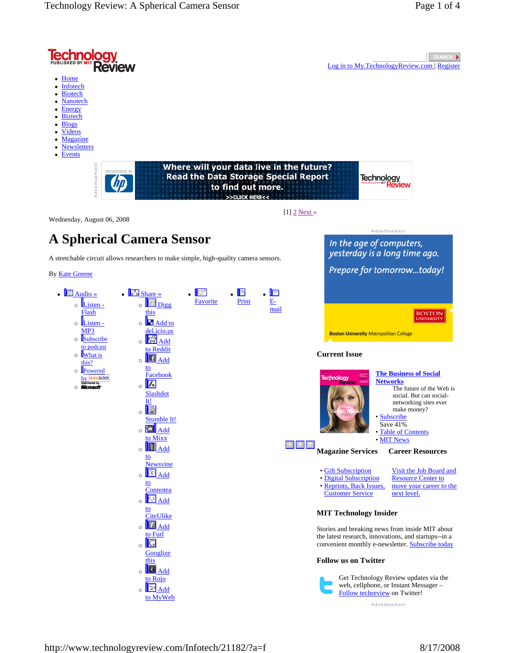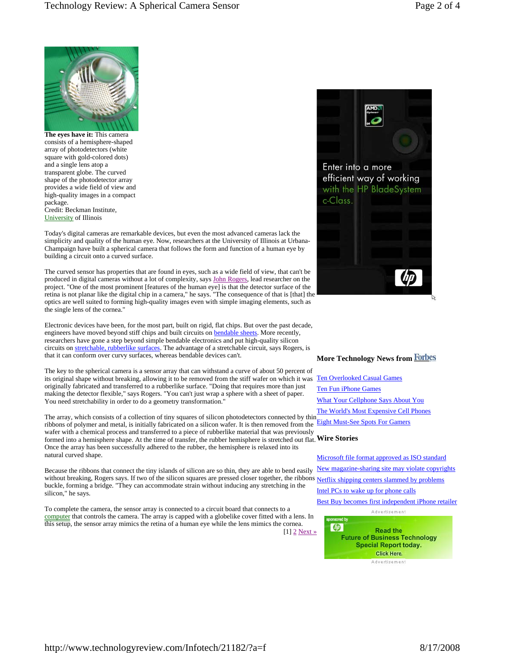

**The eyes have it:** This camera consists of a hemisphere-shaped array of photodetectors (white square with gold-colored dots) and a single lens atop a transparent globe. The curved shape of the photodetector array provides a wide field of view and high-quality images in a compact package. Credit: Beckman Institute, University of Illinois

Today's digital cameras are remarkable devices, but even the most advanced cameras lack the simplicity and quality of the human eye. Now, researchers at the University of Illinois at Urbana-Champaign have built a spherical camera that follows the form and function of a human eye by building a circuit onto a curved surface.

The curved sensor has properties that are found in eyes, such as a wide field of view, that can't be produced in digital cameras without a lot of complexity, says John Rogers, lead researcher on the project. "One of the most prominent [features of the human eye] is that the detector surface of the retina is not planar like the digital chip in a camera," he says. "The consequence of that is [that] the optics are well suited to forming high-quality images even with simple imaging elements, such as the single lens of the cornea."

Electronic devices have been, for the most part, built on rigid, flat chips. But over the past decade, engineers have moved beyond stiff chips and built circuits on bendable sheets. More recently, researchers have gone a step beyond simple bendable electronics and put high-quality silicon circuits on stretchable, rubberlike surfaces. The advantage of a stretchable circuit, says Rogers, is that it can conform over curvy surfaces, whereas bendable devices can't.

The key to the spherical camera is a sensor array that can withstand a curve of about 50 percent of its original shape without breaking, allowing it to be removed from the stiff wafer on which it was Ten Overlooked Casual Games originally fabricated and transferred to a rubberlike surface. "Doing that requires more than just making the detector flexible," says Rogers. "You can't just wrap a sphere with a sheet of paper. You need stretchability in order to do a geometry transformation.'

The array, which consists of a collection of tiny squares of silicon photodetectors connected by thin ribbons of polymer and metal, is initially fabricated on a silicon wafer. It is then removed from the **Eight Must-See Spots For Gamers** wafer with a chemical process and transferred to a piece of rubberlike material that was previously formed into a hemisphere shape. At the time of transfer, the rubber hemisphere is stretched out flat. **Wire Stories**  Once the array has been successfully adhered to the rubber, the hemisphere is relaxed into its natural curved shape.

Because the ribbons that connect the tiny islands of silicon are so thin, they are able to bend easily without breaking, Rogers says. If two of the silicon squares are pressed closer together, the ribbons Netflix shipping centers slammed by problems buckle, forming a bridge. "They can accommodate strain without inducing any stretching in the silicon," he says.

To complete the camera, the sensor array is connected to a circuit board that connects to a computer that controls the camera. The array is capped with a globelike cover fitted with a lens. In this setup, the sensor array mimics the retina of a human eye while the lens mimics the cornea. [1] 2 Next »



### **More Technology News from**

Ten Fun iPhone Games What Your Cellphone Says About You The World's Most Expensive Cell Phones

Microsoft file format approved as ISO standard New magazine-sharing site may violate copyrights Intel PCs to wake up for phone calls Best Buy becomes first independent iPhone retailer



**Future of Business Technology Special Report today. Click Here.** Advertisement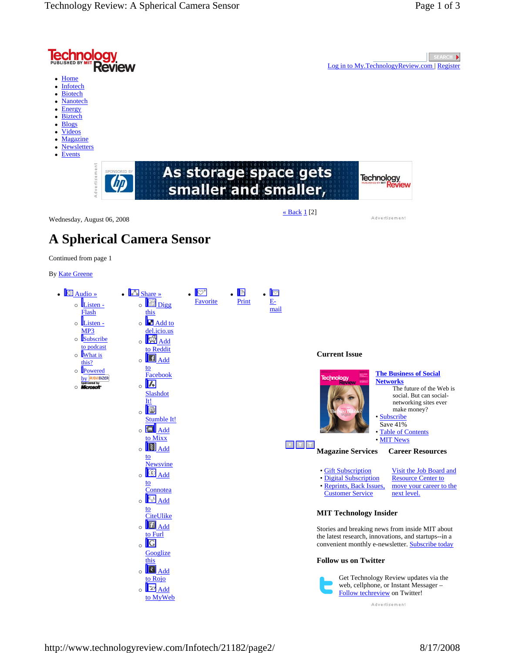